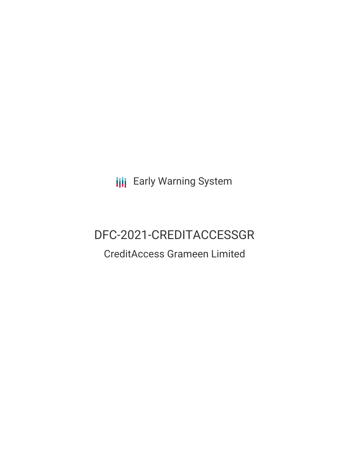**III** Early Warning System

# DFC-2021-CREDITACCESSGR

## CreditAccess Grameen Limited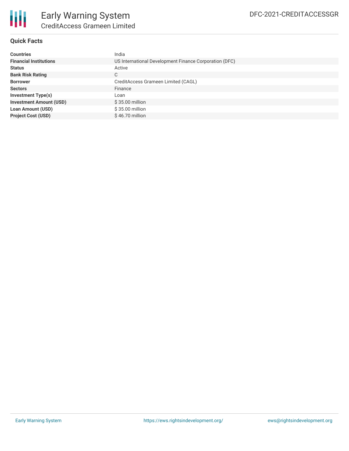

### **Quick Facts**

| <b>Countries</b>               | India                                                  |
|--------------------------------|--------------------------------------------------------|
| <b>Financial Institutions</b>  | US International Development Finance Corporation (DFC) |
| <b>Status</b>                  | Active                                                 |
| <b>Bank Risk Rating</b>        | С                                                      |
| <b>Borrower</b>                | CreditAccess Grameen Limited (CAGL)                    |
| <b>Sectors</b>                 | Finance                                                |
| <b>Investment Type(s)</b>      | Loan                                                   |
| <b>Investment Amount (USD)</b> | $$35.00$ million                                       |
| <b>Loan Amount (USD)</b>       | \$35.00 million                                        |
| <b>Project Cost (USD)</b>      | $$46.70$ million                                       |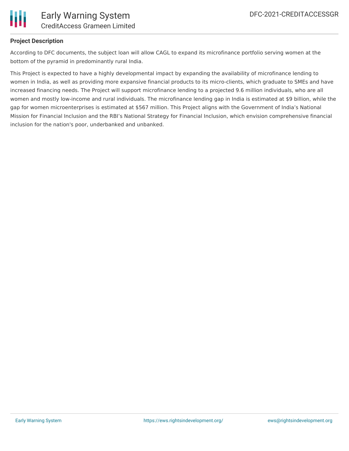

### **Project Description**

According to DFC documents, the subject loan will allow CAGL to expand its microfinance portfolio serving women at the bottom of the pyramid in predominantly rural India.

This Project is expected to have a highly developmental impact by expanding the availability of microfinance lending to women in India, as well as providing more expansive financial products to its micro-clients, which graduate to SMEs and have increased financing needs. The Project will support microfinance lending to a projected 9.6 million individuals, who are all women and mostly low-income and rural individuals. The microfinance lending gap in India is estimated at \$9 billion, while the gap for women microenterprises is estimated at \$567 million. This Project aligns with the Government of India's National Mission for Financial Inclusion and the RBI's National Strategy for Financial Inclusion, which envision comprehensive financial inclusion for the nation's poor, underbanked and unbanked.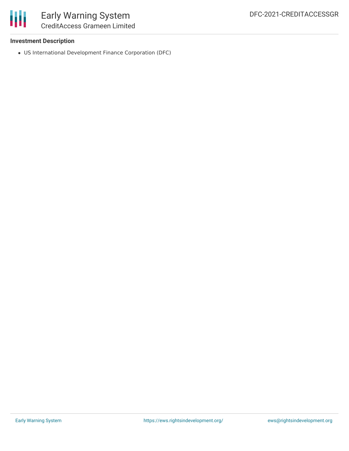

### Early Warning System CreditAccess Grameen Limited

### **Investment Description**

US International Development Finance Corporation (DFC)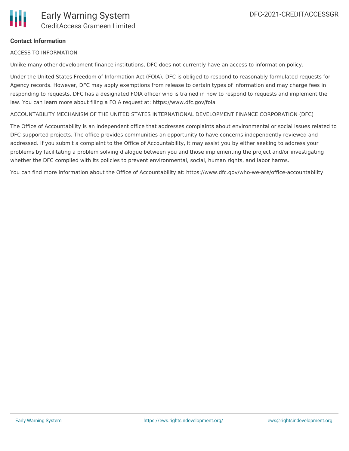

### **Contact Information**

ACCESS TO INFORMATION

Unlike many other development finance institutions, DFC does not currently have an access to information policy.

Under the United States Freedom of Information Act (FOIA), DFC is obliged to respond to reasonably formulated requests for Agency records. However, DFC may apply exemptions from release to certain types of information and may charge fees in responding to requests. DFC has a designated FOIA officer who is trained in how to respond to requests and implement the law. You can learn more about filing a FOIA request at: https://www.dfc.gov/foia

ACCOUNTABILITY MECHANISM OF THE UNITED STATES INTERNATIONAL DEVELOPMENT FINANCE CORPORATION (DFC)

The Office of Accountability is an independent office that addresses complaints about environmental or social issues related to DFC-supported projects. The office provides communities an opportunity to have concerns independently reviewed and addressed. If you submit a complaint to the Office of Accountability, it may assist you by either seeking to address your problems by facilitating a problem solving dialogue between you and those implementing the project and/or investigating whether the DFC complied with its policies to prevent environmental, social, human rights, and labor harms.

You can find more information about the Office of Accountability at: https://www.dfc.gov/who-we-are/office-accountability